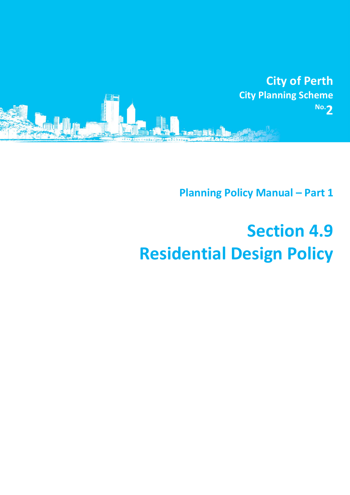

**Planning Policy Manual - Part 1** 

# **Section 4.9 Residential Design Policy**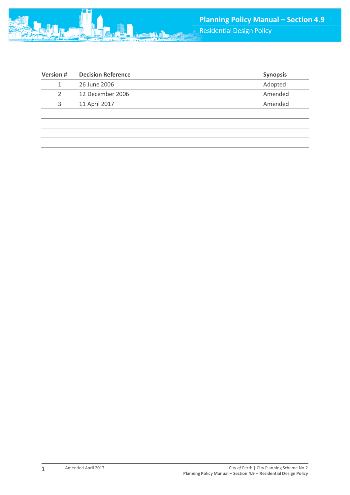| <b>Version #</b> | <b>Decision Reference</b> | <b>Synopsis</b> |
|------------------|---------------------------|-----------------|
|                  | 26 June 2006              | Adopted         |
|                  | 12 December 2006          | Amended         |
|                  | 11 April 2017             | Amended         |
|                  |                           |                 |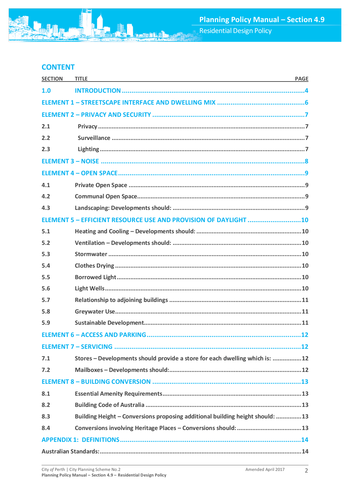# **CONTENT**

| <b>SECTION</b> | <b>TITLE</b><br><b>PAGE</b><br>and the control of the control of the control of the control of the control of the control of the control of the |  |
|----------------|-------------------------------------------------------------------------------------------------------------------------------------------------|--|
| 1.0            |                                                                                                                                                 |  |
|                |                                                                                                                                                 |  |
|                |                                                                                                                                                 |  |
| 2.1            |                                                                                                                                                 |  |
| 2.2            |                                                                                                                                                 |  |
| 2.3            |                                                                                                                                                 |  |
|                |                                                                                                                                                 |  |
|                |                                                                                                                                                 |  |
| 4.1            |                                                                                                                                                 |  |
| 4.2            |                                                                                                                                                 |  |
| 4.3            |                                                                                                                                                 |  |
|                | ELEMENT 5 - EFFICIENT RESOURCE USE AND PROVISION OF DAYLIGHT 10                                                                                 |  |
| 5.1            |                                                                                                                                                 |  |
| 5.2            |                                                                                                                                                 |  |
| 5.3            |                                                                                                                                                 |  |
| 5.4            |                                                                                                                                                 |  |
| 5.5            |                                                                                                                                                 |  |
| 5.6            |                                                                                                                                                 |  |
| 5.7            |                                                                                                                                                 |  |
| 5.8            |                                                                                                                                                 |  |
| 5.9            |                                                                                                                                                 |  |
|                |                                                                                                                                                 |  |
|                |                                                                                                                                                 |  |
| 7.1            | Stores - Developments should provide a store for each dwelling which is: 12                                                                     |  |
| 7.2            |                                                                                                                                                 |  |
|                |                                                                                                                                                 |  |
| 8.1            |                                                                                                                                                 |  |
| 8.2            |                                                                                                                                                 |  |
| 8.3            | Building Height - Conversions proposing additional building height should: 13                                                                   |  |
| 8.4            |                                                                                                                                                 |  |
|                |                                                                                                                                                 |  |
|                |                                                                                                                                                 |  |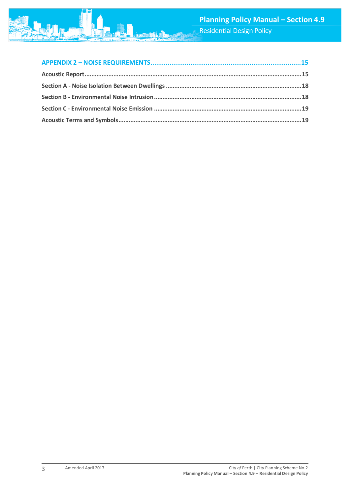Residential Design Policy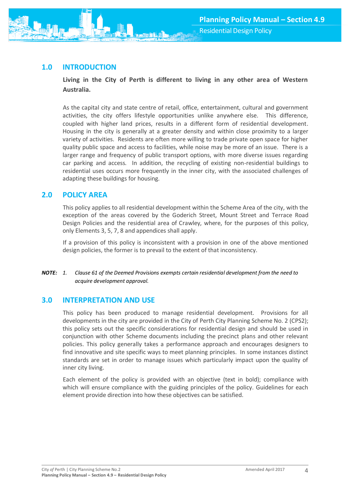# <span id="page-4-0"></span>**1.0 INTRODUCTION**

**Living in the City of Perth is different to living in any other area of Western Australia.**

As the capital city and state centre of retail, office, entertainment, cultural and government activities, the city offers lifestyle opportunities unlike anywhere else. This difference, coupled with higher land prices, results in a different form of residential development. Housing in the city is generally at a greater density and within close proximity to a larger variety of activities. Residents are often more willing to trade private open space for higher quality public space and access to facilities, while noise may be more of an issue. There is a larger range and frequency of public transport options, with more diverse issues regarding car parking and access. In addition, the recycling of existing non-residential buildings to residential uses occurs more frequently in the inner city, with the associated challenges of adapting these buildings for housing.

## **2.0 POLICY AREA**

This policy applies to all residential development within the Scheme Area of the city, with the exception of the areas covered by the Goderich Street, Mount Street and Terrace Road Design Policies and the residential area of Crawley, where, for the purposes of this policy, only Elements 3, 5, 7, 8 and appendices shall apply.

If a provision of this policy is inconsistent with a provision in one of the above mentioned design policies, the former is to prevail to the extent of that inconsistency.

#### *NOTE: 1. Clause 61 of the Deemed Provisions exempts certain residential development from the need to acquire development approval.*

## **3.0 INTERPRETATION AND USE**

This policy has been produced to manage residential development. Provisions for all developments in the city are provided in the City of Perth City Planning Scheme No. 2 (CPS2); this policy sets out the specific considerations for residential design and should be used in conjunction with other Scheme documents including the precinct plans and other relevant policies. This policy generally takes a performance approach and encourages designers to find innovative and site specific ways to meet planning principles. In some instances distinct standards are set in order to manage issues which particularly impact upon the quality of inner city living.

Each element of the policy is provided with an objective (text in bold); compliance with which will ensure compliance with the guiding principles of the policy. Guidelines for each element provide direction into how these objectives can be satisfied.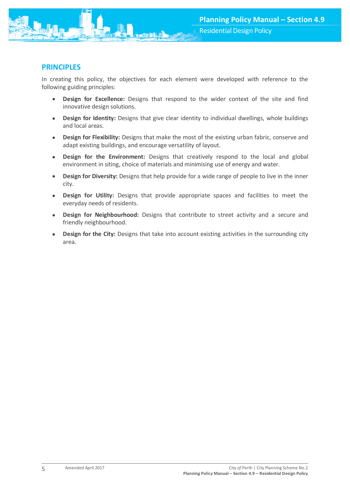

In creating this policy, the objectives for each element were developed with reference to the following guiding principles:

- **Design for Excellence:** Designs that respond to the wider context of the site and find innovative design solutions.
- **Design for Identity:** Designs that give clear identity to individual dwellings, whole buildings and local areas.
- **Design for Flexibility:** Designs that make the most of the existing urban fabric, conserve and adapt existing buildings, and encourage versatility of layout.
- **Design for the Environment:** Designs that creatively respond to the local and global environment in siting, choice of materials and minimising use of energy and water.
- **Design for Diversity:** Designs that help provide for a wide range of people to live in the inner city.
- **Design for Utility:** Designs that provide appropriate spaces and facilities to meet the everyday needs of residents.
- **Design for Neighbourhood:** Designs that contribute to street activity and a secure and friendly neighbourhood.
- **Design for the City:** Designs that take into account existing activities in the surrounding city area.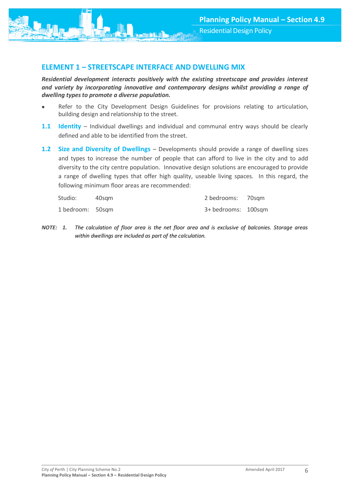<span id="page-6-0"></span>

*Residential development interacts positively with the existing streetscape and provides interest and variety by incorporating innovative and contemporary designs whilst providing a range of dwelling types to promote a diverse population.*

- Refer to the City Development Design Guidelines for provisions relating to articulation, building design and relationship to the street.
- **1.1 Identity** Individual dwellings and individual and communal entry ways should be clearly defined and able to be identified from the street.
- **1.2 Size and Diversity of Dwellings** Developments should provide a range of dwelling sizes and types to increase the number of people that can afford to live in the city and to add diversity to the city centre population. Innovative design solutions are encouraged to provide a range of dwelling types that offer high quality, useable living spaces. In this regard, the following minimum floor areas are recommended:

| Studio:          | 40sam | 2 bedrooms: 70sqm   |  |
|------------------|-------|---------------------|--|
| 1 bedroom: 50sqm |       | 3+ bedrooms: 100sqm |  |

*NOTE: 1. The calculation of floor area is the net floor area and is exclusive of balconies. Storage areas within dwellings are included as part of the calculation.*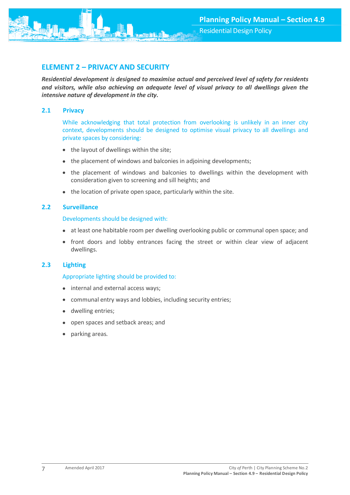<span id="page-7-0"></span>

*Residential development is designed to maximise actual and perceived level of safety for residents and visitors, while also achieving an adequate level of visual privacy to all dwellings given the intensive nature of development in the city.*

#### <span id="page-7-1"></span>**2.1 Privacy**

While acknowledging that total protection from overlooking is unlikely in an inner city context, developments should be designed to optimise visual privacy to all dwellings and private spaces by considering:

- the layout of dwellings within the site;
- the placement of windows and balconies in adjoining developments;
- the placement of windows and balconies to dwellings within the development with consideration given to screening and sill heights; and
- the location of private open space, particularly within the site.

## <span id="page-7-2"></span>**2.2 Surveillance**

#### Developments should be designed with:

- at least one habitable room per dwelling overlooking public or communal open space; and
- front doors and lobby entrances facing the street or within clear view of adjacent dwellings.

## <span id="page-7-3"></span>**2.3 Lighting**

#### Appropriate lighting should be provided to:

- internal and external access ways;
- communal entry ways and lobbies, including security entries;
- dwelling entries;
- open spaces and setback areas; and
- parking areas.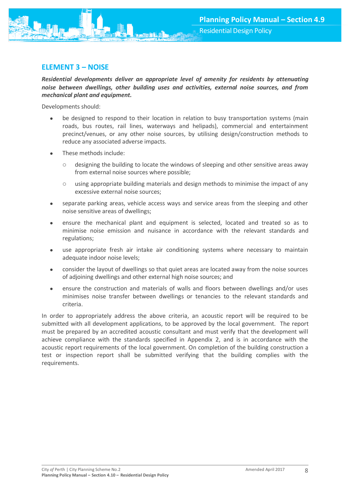

# <span id="page-8-0"></span>**ELEMENT 3 – NOISE**

*Residential developments deliver an appropriate level of amenity for residents by attenuating noise between dwellings, other building uses and activities, external noise sources, and from mechanical plant and equipment.*

Developments should:

- be designed to respond to their location in relation to busy transportation systems (main roads, bus routes, rail lines, waterways and helipads), commercial and entertainment precinct/venues, or any other noise sources, by utilising design/construction methods to reduce any associated adverse impacts.
- These methods include:
	- designing the building to locate the windows of sleeping and other sensitive areas away from external noise sources where possible;
	- o using appropriate building materials and design methods to minimise the impact of any excessive external noise sources;
- separate parking areas, vehicle access ways and service areas from the sleeping and other noise sensitive areas of dwellings;
- ensure the mechanical plant and equipment is selected, located and treated so as to minimise noise emission and nuisance in accordance with the relevant standards and regulations;
- use appropriate fresh air intake air conditioning systems where necessary to maintain adequate indoor noise levels;
- consider the layout of dwellings so that quiet areas are located away from the noise sources of adjoining dwellings and other external high noise sources; and
- ensure the construction and materials of walls and floors between dwellings and/or uses minimises noise transfer between dwellings or tenancies to the relevant standards and criteria.

In order to appropriately address the above criteria, an acoustic report will be required to be submitted with all development applications, to be approved by the local government. The report must be prepared by an accredited acoustic consultant and must verify that the development will achieve compliance with the standards specified in Appendix 2, and is in accordance with the acoustic report requirements of the local government. On completion of the building construction a test or inspection report shall be submitted verifying that the building complies with the requirements.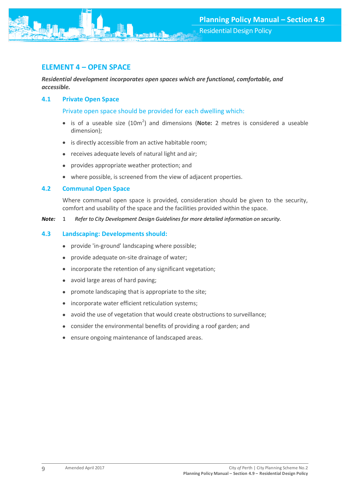<span id="page-9-0"></span>

*Residential development incorporates open spaces which are functional, comfortable, and accessible.*

#### <span id="page-9-1"></span>**4.1 Private Open Space**

Private open space should be provided for each dwelling which:

- is of a useable size (10m<sup>2</sup>) and dimensions (**Note:** 2 metres is considered a useable dimension);
- is directly accessible from an active habitable room;
- receives adequate levels of natural light and air;
- provides appropriate weather protection; and
- where possible, is screened from the view of adjacent properties.

#### <span id="page-9-2"></span>**4.2 Communal Open Space**

Where communal open space is provided, consideration should be given to the security, comfort and usability of the space and the facilities provided within the space.

<span id="page-9-3"></span>*Note:* 1 *Refer to City Development Design Guidelines for more detailed information on security.*

#### **4.3 Landscaping: Developments should:**

- provide 'in-ground' landscaping where possible;
- provide adequate on-site drainage of water;
- incorporate the retention of any significant vegetation;
- avoid large areas of hard paving;
- promote landscaping that is appropriate to the site;
- incorporate water efficient reticulation systems;
- avoid the use of vegetation that would create obstructions to surveillance;
- consider the environmental benefits of providing a roof garden; and
- ensure ongoing maintenance of landscaped areas.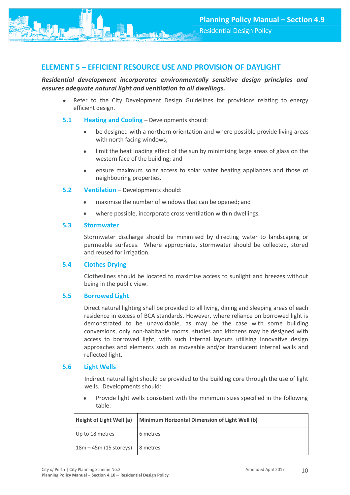# <span id="page-10-0"></span>**ELEMENT 5 – EFFICIENT RESOURCE USE AND PROVISION OF DAYLIGHT**

*Residential development incorporates environmentally sensitive design principles and ensures adequate natural light and ventilation to all dwellings.*

- Refer to the City Development Design Guidelines for provisions relating to energy efficient design.
- <span id="page-10-1"></span>**5.1 Heating and Cooling** – Developments should:
	- be designed with a northern orientation and where possible provide living areas with north facing windows;
	- limit the heat loading effect of the sun by minimising large areas of glass on the western face of the building; and
	- ensure maximum solar access to solar water heating appliances and those of neighbouring properties.
- <span id="page-10-2"></span>**5.2 Ventilation** – Developments should:
	- maximise the number of windows that can be opened; and
	- where possible, incorporate cross ventilation within dwellings.

#### <span id="page-10-3"></span>**5.3 Stormwater**

Stormwater discharge should be minimised by directing water to landscaping or permeable surfaces. Where appropriate, stormwater should be collected, stored and reused for irrigation.

#### <span id="page-10-4"></span>**5.4 Clothes Drying**

Clotheslines should be located to maximise access to sunlight and breezes without being in the public view.

## <span id="page-10-5"></span>**5.5 Borrowed Light**

Direct natural lighting shall be provided to all living, dining and sleeping areas of each residence in excess of BCA standards. However, where reliance on borrowed light is demonstrated to be unavoidable, as may be the case with some building conversions, only non-habitable rooms, studies and kitchens may be designed with access to borrowed light, with such internal layouts utilising innovative design approaches and elements such as moveable and/or translucent internal walls and reflected light.

#### <span id="page-10-6"></span>**5.6 Light Wells**

Indirect natural light should be provided to the building core through the use of light wells. Developments should:

 Provide light wells consistent with the minimum sizes specified in the following table:

| Height of Light Well (a) | Minimum Horizontal Dimension of Light Well (b) |
|--------------------------|------------------------------------------------|
| Up to 18 metres          | 6 metres                                       |
| $18m - 45m$ (15 storeys) | 8 metres                                       |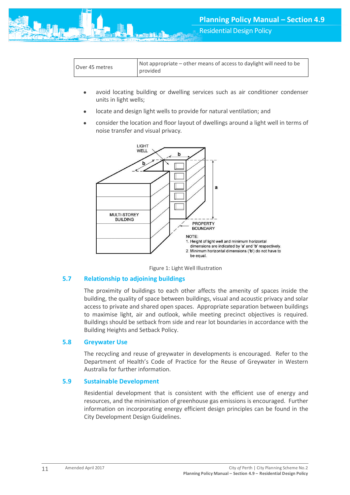

Residential Design Policy

- avoid locating building or dwelling services such as air conditioner condenser units in light wells;
- locate and design light wells to provide for natural ventilation; and
- consider the location and floor layout of dwellings around a light well in terms of noise transfer and visual privacy.





#### <span id="page-11-0"></span>**5.7 Relationship to adjoining buildings**

The proximity of buildings to each other affects the amenity of spaces inside the building, the quality of space between buildings, visual and acoustic privacy and solar access to private and shared open spaces. Appropriate separation between buildings to maximise light, air and outlook, while meeting precinct objectives is required. Buildings should be setback from side and rear lot boundaries in accordance with the Building Heights and Setback Policy.

#### <span id="page-11-1"></span>**5.8 Greywater Use**

The recycling and reuse of greywater in developments is encouraged. Refer to the Department of Health's Code of Practice for the Reuse of Greywater in Western Australia for further information.

#### <span id="page-11-2"></span>**5.9 Sustainable Development**

Residential development that is consistent with the efficient use of energy and resources, and the minimisation of greenhouse gas emissions is encouraged. Further information on incorporating energy efficient design principles can be found in the City Development Design Guidelines.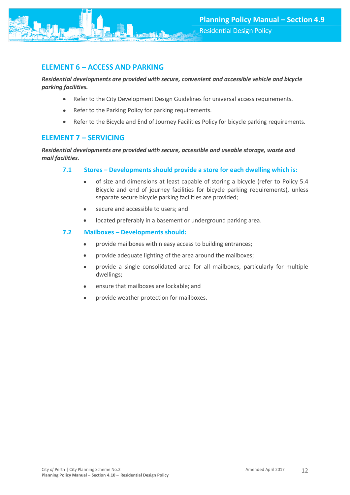<span id="page-12-0"></span>

## *Residential developments are provided with secure, convenient and accessible vehicle and bicycle parking facilities.*

- Refer to the City Development Design Guidelines for universal access requirements.
- Refer to the Parking Policy for parking requirements.
- Refer to the Bicycle and End of Journey Facilities Policy for bicycle parking requirements.

# <span id="page-12-1"></span>**ELEMENT 7 – SERVICING**

#### *Residential developments are provided with secure, accessible and useable storage, waste and mail facilities.*

## <span id="page-12-2"></span>**7.1 Stores – Developments should provide a store for each dwelling which is:**

- of size and dimensions at least capable of storing a bicycle (refer to Policy 5.4 Bicycle and end of journey facilities for bicycle parking requirements), unless separate secure bicycle parking facilities are provided;
- secure and accessible to users; and
- located preferably in a basement or underground parking area.

## <span id="page-12-3"></span>**7.2 Mailboxes – Developments should:**

- provide mailboxes within easy access to building entrances;
- provide adequate lighting of the area around the mailboxes;
- provide a single consolidated area for all mailboxes, particularly for multiple dwellings;
- ensure that mailboxes are lockable; and
- provide weather protection for mailboxes.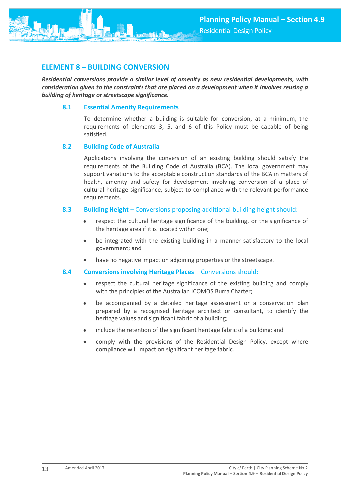

# <span id="page-13-0"></span>**ELEMENT 8 – BUILDING CONVERSION**

*Residential conversions provide a similar level of amenity as new residential developments, with consideration given to the constraints that are placed on a development when it involves reusing a building of heritage or streetscape significance.*

## <span id="page-13-1"></span>**8.1 Essential Amenity Requirements**

To determine whether a building is suitable for conversion, at a minimum, the requirements of elements 3, 5, and 6 of this Policy must be capable of being satisfied.

#### <span id="page-13-2"></span>**8.2 Building Code of Australia**

Applications involving the conversion of an existing building should satisfy the requirements of the Building Code of Australia (BCA). The local government may support variations to the acceptable construction standards of the BCA in matters of health, amenity and safety for development involving conversion of a place of cultural heritage significance, subject to compliance with the relevant performance requirements.

#### <span id="page-13-3"></span>**8.3 Building Height** – Conversions proposing additional building height should:

- respect the cultural heritage significance of the building, or the significance of the heritage area if it is located within one;
- be integrated with the existing building in a manner satisfactory to the local government; and
- have no negative impact on adjoining properties or the streetscape.

## <span id="page-13-4"></span>**8.4 Conversions involving Heritage Places** – Conversions should:

- respect the cultural heritage significance of the existing building and comply with the principles of the Australian ICOMOS Burra Charter;
- be accompanied by a detailed heritage assessment or a conservation plan prepared by a recognised heritage architect or consultant, to identify the heritage values and significant fabric of a building;
- include the retention of the significant heritage fabric of a building; and
- comply with the provisions of the Residential Design Policy, except where compliance will impact on significant heritage fabric.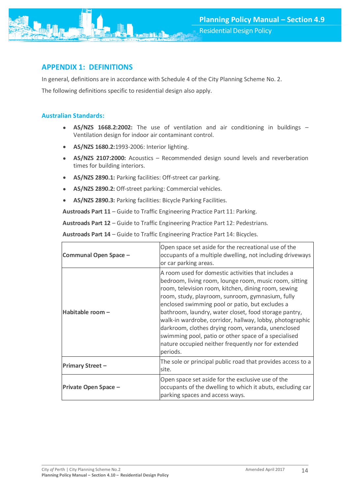

# <span id="page-14-0"></span>**APPENDIX 1: DEFINITIONS**

In general, definitions are in accordance with Schedule 4 of the City Planning Scheme No. 2.

The following definitions specific to residential design also apply.

## <span id="page-14-1"></span>**Australian Standards:**

- **AS/NZS 1668.2:2002:** The use of ventilation and air conditioning in buildings Ventilation design for indoor air contaminant control.
- **AS/NZS 1680.2:**1993-2006: Interior lighting.
- **AS/NZS 2107:2000:** Acoustics Recommended design sound levels and reverberation times for building interiors.
- **AS/NZS 2890.1:** Parking facilities: Off-street car parking.
- **AS/NZS 2890.2:** Off-street parking: Commercial vehicles.
- **AS/NZS 2890.3:** Parking facilities: Bicycle Parking Facilities.

**Austroads Part 11** – Guide to Traffic Engineering Practice Part 11: Parking.

**Austroads Part 12** – Guide to Traffic Engineering Practice Part 12: Pedestrians.

**Austroads Part 14** – Guide to Traffic Engineering Practice Part 14: Bicycles.

| Communal Open Space -   | Open space set aside for the recreational use of the<br>occupants of a multiple dwelling, not including driveways<br>or car parking areas.                                                                                                                                                                                                                                                                                                                                                                                                                                        |
|-------------------------|-----------------------------------------------------------------------------------------------------------------------------------------------------------------------------------------------------------------------------------------------------------------------------------------------------------------------------------------------------------------------------------------------------------------------------------------------------------------------------------------------------------------------------------------------------------------------------------|
| Habitable room -        | A room used for domestic activities that includes a<br>bedroom, living room, lounge room, music room, sitting<br>room, television room, kitchen, dining room, sewing<br>room, study, playroom, sunroom, gymnasium, fully<br>enclosed swimming pool or patio, but excludes a<br>bathroom, laundry, water closet, food storage pantry,<br>walk-in wardrobe, corridor, hallway, lobby, photographic<br>darkroom, clothes drying room, veranda, unenclosed<br>swimming pool, patio or other space of a specialised<br>nature occupied neither frequently nor for extended<br>periods. |
| <b>Primary Street -</b> | The sole or principal public road that provides access to a<br>site.                                                                                                                                                                                                                                                                                                                                                                                                                                                                                                              |
| Private Open Space -    | Open space set aside for the exclusive use of the<br>occupants of the dwelling to which it abuts, excluding car<br>parking spaces and access ways.                                                                                                                                                                                                                                                                                                                                                                                                                                |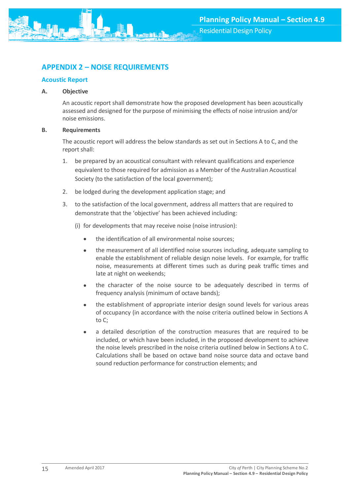# <span id="page-15-0"></span>**APPENDIX 2 – NOISE REQUIREMENTS**

## <span id="page-15-1"></span>**Acoustic Report**

## **A. Objective**

An acoustic report shall demonstrate how the proposed development has been acoustically assessed and designed for the purpose of minimising the effects of noise intrusion and/or noise emissions.

#### **B. Requirements**

The acoustic report will address the below standards as set out in Sections A to C, and the report shall:

- 1. be prepared by an acoustical consultant with relevant qualifications and experience equivalent to those required for admission as a Member of the Australian Acoustical Society (to the satisfaction of the local government);
- 2. be lodged during the development application stage; and
- 3. to the satisfaction of the local government, address all matters that are required to demonstrate that the 'objective' has been achieved including:
	- (i) for developments that may receive noise (noise intrusion):
		- the identification of all environmental noise sources;
		- the measurement of all identified noise sources including, adequate sampling to enable the establishment of reliable design noise levels. For example, for traffic noise, measurements at different times such as during peak traffic times and late at night on weekends;
		- the character of the noise source to be adequately described in terms of frequency analysis (minimum of octave bands);
		- the establishment of appropriate interior design sound levels for various areas of occupancy (in accordance with the noise criteria outlined below in Sections A to C;
		- a detailed description of the construction measures that are required to be included, or which have been included, in the proposed development to achieve the noise levels prescribed in the noise criteria outlined below in Sections A to C. Calculations shall be based on octave band noise source data and octave band sound reduction performance for construction elements; and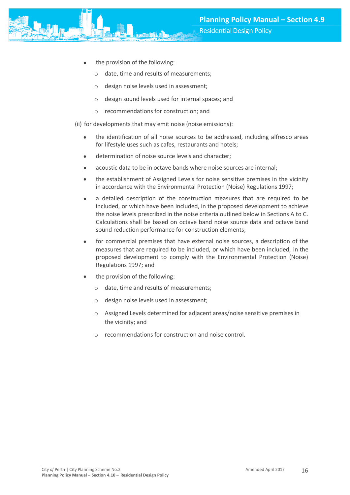- the provision of the following:
	- o date, time and results of measurements;
	- o design noise levels used in assessment;
	- o design sound levels used for internal spaces; and
	- o recommendations for construction; and

(ii) for developments that may emit noise (noise emissions):

- the identification of all noise sources to be addressed, including alfresco areas for lifestyle uses such as cafes, restaurants and hotels;
- determination of noise source levels and character;
- acoustic data to be in octave bands where noise sources are internal;
- the establishment of Assigned Levels for noise sensitive premises in the vicinity in accordance with the Environmental Protection (Noise) Regulations 1997;
- a detailed description of the construction measures that are required to be included, or which have been included, in the proposed development to achieve the noise levels prescribed in the noise criteria outlined below in Sections A to C. Calculations shall be based on octave band noise source data and octave band sound reduction performance for construction elements;
- for commercial premises that have external noise sources, a description of the measures that are required to be included, or which have been included, in the proposed development to comply with the Environmental Protection (Noise) Regulations 1997; and
- the provision of the following:
	- o date, time and results of measurements;
	- o design noise levels used in assessment;
	- o Assigned Levels determined for adjacent areas/noise sensitive premises in the vicinity; and
	- recommendations for construction and noise control.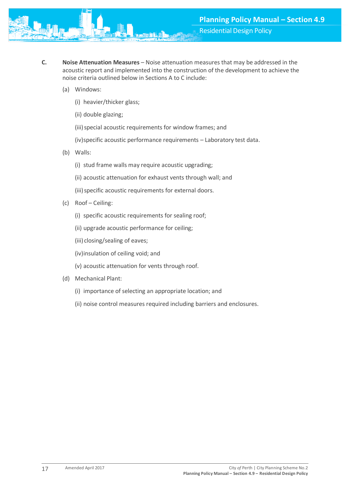- **C. Noise Attenuation Measures**  Noise attenuation measures that may be addressed in the acoustic report and implemented into the construction of the development to achieve the noise criteria outlined below in Sections A to C include:
	- (a) Windows:
		- (i) heavier/thicker glass;
		- (ii) double glazing;
		- (iii) special acoustic requirements for window frames; and
		- (iv)specific acoustic performance requirements Laboratory test data.
	- (b) Walls:
		- (i) stud frame walls may require acoustic upgrading;
		- (ii) acoustic attenuation for exhaust vents through wall; and
		- (iii) specific acoustic requirements for external doors.
	- (c) Roof Ceiling:
		- (i) specific acoustic requirements for sealing roof;
		- (ii) upgrade acoustic performance for ceiling;
		- (iii) closing/sealing of eaves;
		- (iv)insulation of ceiling void; and
		- (v) acoustic attenuation for vents through roof.
	- (d) Mechanical Plant:
		- (i) importance of selecting an appropriate location; and
		- (ii) noise control measures required including barriers and enclosures.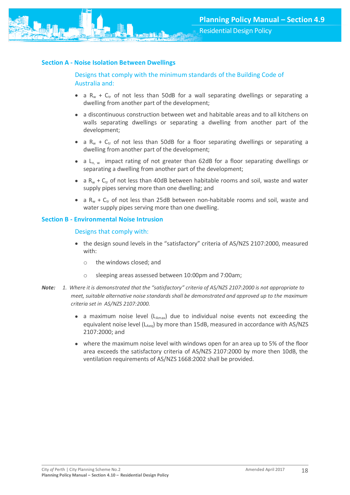<span id="page-18-0"></span>

## Designs that comply with the minimum standards of the Building Code of Australia and:

- a  $R_w + C_{tr}$  of not less than 50dB for a wall separating dwellings or separating a dwelling from another part of the development;
- a discontinuous construction between wet and habitable areas and to all kitchens on walls separating dwellings or separating a dwelling from another part of the development;
- a  $R_w + C_{tr}$  of not less than 50dB for a floor separating dwellings or separating a dwelling from another part of the development;
- a L<sub>n, w</sub> impact rating of not greater than 62dB for a floor separating dwellings or separating a dwelling from another part of the development;
- a  $R_w$  +  $C_{tr}$  of not less than 40dB between habitable rooms and soil, waste and water supply pipes serving more than one dwelling; and
- a  $R_w + C_{tr}$  of not less than 25dB between non-habitable rooms and soil, waste and water supply pipes serving more than one dwelling.

#### <span id="page-18-1"></span>**Section B - Environmental Noise Intrusion**

#### Designs that comply with:

- the design sound levels in the "satisfactory" criteria of AS/NZS 2107:2000, measured with:
	- o the windows closed; and
	- o sleeping areas assessed between 10:00pm and 7:00am;
- *Note: 1. Where it is demonstrated that the "satisfactory" criteria of AS/NZS 2107:2000 is not appropriate to meet, suitable alternative noise standards shall be demonstrated and approved up to the maximum criteria set in AS/NZS 2107:2000.*
	- a maximum noise level ( $L_{Amax}$ ) due to individual noise events not exceeding the equivalent noise level ( $L_{Aeq}$ ) by more than 15dB, measured in accordance with AS/NZS 2107:2000; and
	- where the maximum noise level with windows open for an area up to 5% of the floor area exceeds the satisfactory criteria of AS/NZS 2107:2000 by more then 10dB, the ventilation requirements of AS/NZS 1668:2002 shall be provided.